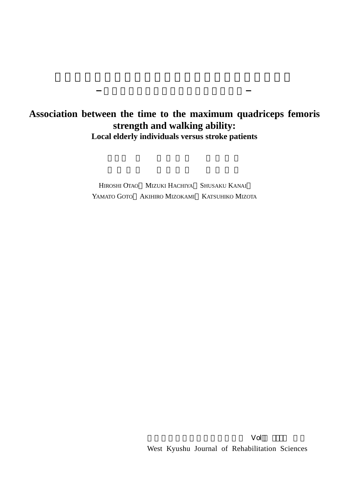## **Association between the time to the maximum quadriceps femoris strength and walking ability: Local elderly individuals versus stroke patients**

HIROSHI OTAO MIZUKI HACHIYA SHUSAKU KANAI YAMATO GOTO AKIHIRO MIZOKAMI KATSUHIKO MIZOTA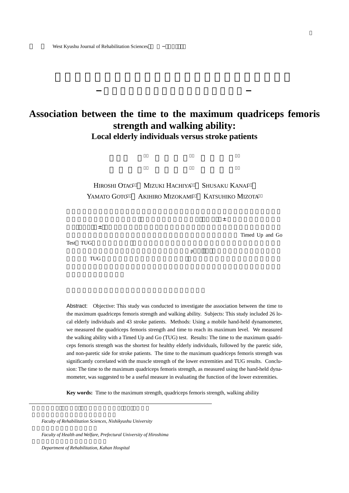## **Association between the time to the maximum quadriceps femoris strength and walking ability: Local elderly individuals versus stroke patients**



Abstract: Objective: This study was conducted to investigate the association between the time to the maximum quadriceps femoris strength and walking ability. Subjects: This study included 26 local elderly individuals and 43 stroke patients. Methods: Using a mobile hand-held dynamometer, we measured the quadriceps femoris strength and time to reach its maximum level. We measured the walking ability with a Timed Up and Go (TUG) test. Results: The time to the maximum quadriceps femoris strength was the shortest for healthy elderly individuals, followed by the paretic side, and non-paretic side for stroke patients. The time to the maximum quadriceps femoris strength was significantly correlated with the muscle strength of the lower extremities and TUG results. Conclusion: The time to the maximum quadriceps femoris strength, as measured using the hand-held dynamometer, was suggested to be a useful measure in evaluating the function of the lower extremities.

**Key words:** Time to the maximum strength, quadriceps femoris strength, walking ability

*Faculty of Rehabilitation Sciences, Nishikyushu University*

*Faculty of Health and Welfare, Prefectural University of Hiroshima*

*Department of Rehabilitation, Kahan Hospital*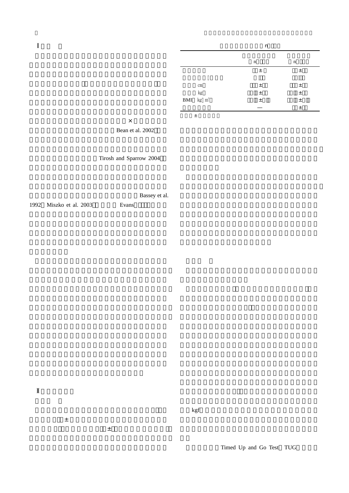**1** 

|                                       | n           |             |
|---------------------------------------|-------------|-------------|
|                                       |             |             |
|                                       | $\mathbf n$ | $\mathbf n$ |
|                                       | $\pm$       | 土           |
|                                       |             |             |
| $\rm cm$                              | $\pm$       | 土           |
|                                       | $\pm$       | $\pm$       |
| $$\,{\rm kg}$$ BMI $$\,{\rm kg}\,$ m² | $\pm$       | 土           |
|                                       |             | $\pm$       |

 $\times$ Bean et al. 2002

Tirosh and Sparrow 2004

Bassey et al.

1992 Miszko et al. 2003 Evans

 $\left(1+\frac{1}{2}\right)$   $\pm$  5  $\left(1+\frac{1}{2}\right)$   $\pm$  5  $\left(1+\frac{1}{2}\right)$   $\pm$  5  $\left(1+\frac{1}{2}\right)$  $\pm$ 133 $\pm$ 13 $\pm$ 13 $\pm$ 13 $\pm$ 13 $\pm$ 13 $\pm$ 13 $\pm$ 13 $\pm$ 13 $\pm$ 13 $\pm$ 13 $\pm$ 13 $\pm$ 13 $\pm$ 13 $\pm$ 13 $\pm$ 13 $\pm$ 13 $\pm$ 13 $\pm$ 13 $\pm$ 13 $\pm$ 13 $\pm$ 13 $\pm$ 13 $\pm$ 13 $\pm$ 13 $\pm$ 13 $\pm$ 13 $\pm$ 13 $\pm$ 13 $\pm$ 13 $\pm$ 13 $\pm$ 13 $\pm$ 13 $\pm$ 13 $\pm$ 13 $\pm$ 13 $\pm$ 

**.** 

 $kgf$ 

Timed Up and Go Test TUG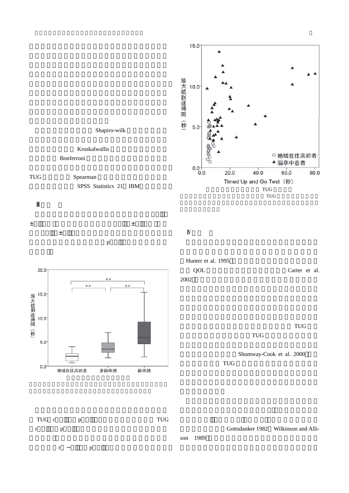

TUG r p TUG r p  $r$  p Gottsdanker 1982 Wilkinson and Allison 1989